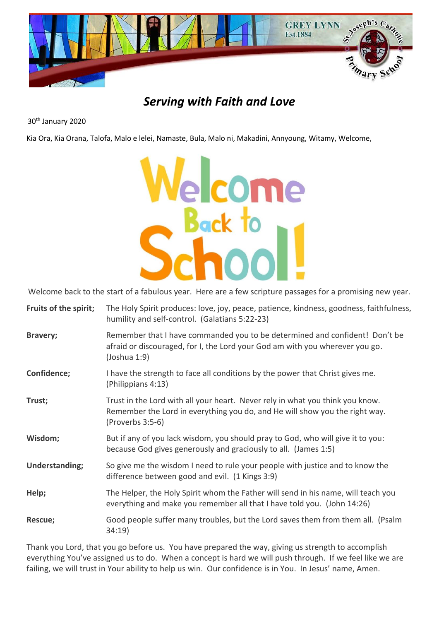

# *Serving with Faith and Love*

30th January 2020

Kia Ora, Kia Orana, Talofa, Malo e lelei, Namaste, Bula, Malo ni, Makadini, Annyoung, Witamy, Welcome,



Welcome back to the start of a fabulous year. Here are a few scripture passages for a promising new year.

| Fruits of the spirit; | The Holy Spirit produces: love, joy, peace, patience, kindness, goodness, faithfulness,<br>humility and self-control. (Galatians 5:22-23)                                        |
|-----------------------|----------------------------------------------------------------------------------------------------------------------------------------------------------------------------------|
| Bravery;              | Remember that I have commanded you to be determined and confident! Don't be<br>afraid or discouraged, for I, the Lord your God am with you wherever you go.<br>(John and 1:9)    |
| Confidence;           | I have the strength to face all conditions by the power that Christ gives me.<br>(Philippians 4:13)                                                                              |
| Trust;                | Trust in the Lord with all your heart. Never rely in what you think you know.<br>Remember the Lord in everything you do, and He will show you the right way.<br>(Proverbs 3:5-6) |
| Wisdom;               | But if any of you lack wisdom, you should pray to God, who will give it to you:<br>because God gives generously and graciously to all. (James 1:5)                               |
| Understanding;        | So give me the wisdom I need to rule your people with justice and to know the<br>difference between good and evil. (1 Kings 3:9)                                                 |
| Help;                 | The Helper, the Holy Spirit whom the Father will send in his name, will teach you<br>everything and make you remember all that I have told you. (John 14:26)                     |
| Rescue;               | Good people suffer many troubles, but the Lord saves them from them all. (Psalm<br>34:19)                                                                                        |
|                       |                                                                                                                                                                                  |

Thank you Lord, that you go before us. You have prepared the way, giving us strength to accomplish everything You've assigned us to do. When a concept is hard we will push through. If we feel like we are failing, we will trust in Your ability to help us win. Our confidence is in You. In Jesus' name, Amen.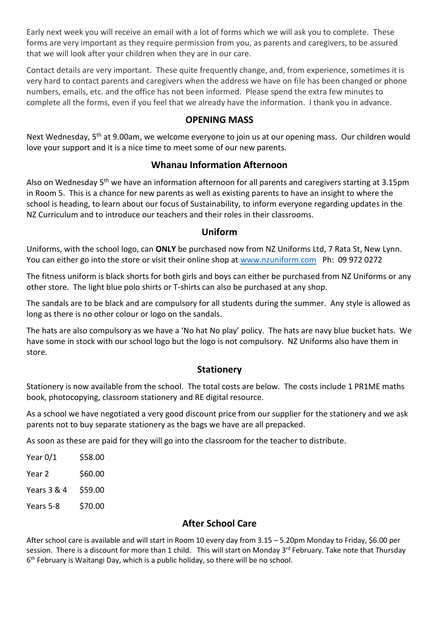Early next week you will receive an email with a lot of forms which we will ask you to complete. These forms are very important as they require permission from you, as parents and caregivers, to be assured that we will look after your children when they are in our care.

Contact details are very important. These quite frequently change, and, from experience, sometimes it is very hard to contact parents and caregivers when the address we have on file has been changed or phone numbers, emails, etc. and the office has not been informed. Please spend the extra few minutes to complete all the forms, even if you feel that we already have the information. I thank you in advance.

## **OPENING MASS**

Next Wednesday, 5<sup>th</sup> at 9.00am, we welcome everyone to join us at our opening mass. Our children would love your support and it is a nice time to meet some of our new parents.

## **Whanau Information Afternoon**

Also on Wednesday 5<sup>th</sup> we have an information afternoon for all parents and caregivers starting at 3.15pm in Room 5. This is a chance for new parents as well as existing parents to have an insight to where the school is heading, to learn about our focus of Sustainability, to inform everyone regarding updates in the NZ Curriculum and to introduce our teachers and their roles in their classrooms.

#### **Uniform**

Uniforms, with the school logo, can **ONLY** be purchased now from NZ Uniforms Ltd, 7 Rata St, New Lynn. You can either go into the store or visit their online shop at [www.nzuniform.com](http://www.nzuniform.com/) Ph: 09 972 0272

The fitness uniform is black shorts for both girls and boys can either be purchased from NZ Uniforms or any other store. The light blue polo shirts or T-shirts can also be purchased at any shop.

The sandals are to be black and are compulsory for all students during the summer. Any style is allowed as long as there is no other colour or logo on the sandals.

The hats are also compulsory as we have a 'No hat No play' policy. The hats are navy blue bucket hats. We have some in stock with our school logo but the logo is not compulsory. NZ Uniforms also have them in store.

#### **Stationery**

Stationery is now available from the school. The total costs are below. The costs include 1 PR1ME maths book, photocopying, classroom stationery and RE digital resource.

As a school we have negotiated a very good discount price from our supplier for the stationery and we ask parents not to buy separate stationery as the bags we have are all prepacked.

As soon as these are paid for they will go into the classroom for the teacher to distribute.

| Year 0/1    | \$58.00 |
|-------------|---------|
| Year 2      | \$60.00 |
| Years 3 & 4 | \$59.00 |
| Years 5-8   | \$70.00 |

# **After School Care**

After school care is available and will start in Room 10 every day from 3.15 – 5.20pm Monday to Friday, \$6.00 per session. There is a discount for more than 1 child. This will start on Monday 3<sup>rd</sup> February. Take note that Thursday 6<sup>th</sup> February is Waitangi Day, which is a public holiday, so there will be no school.